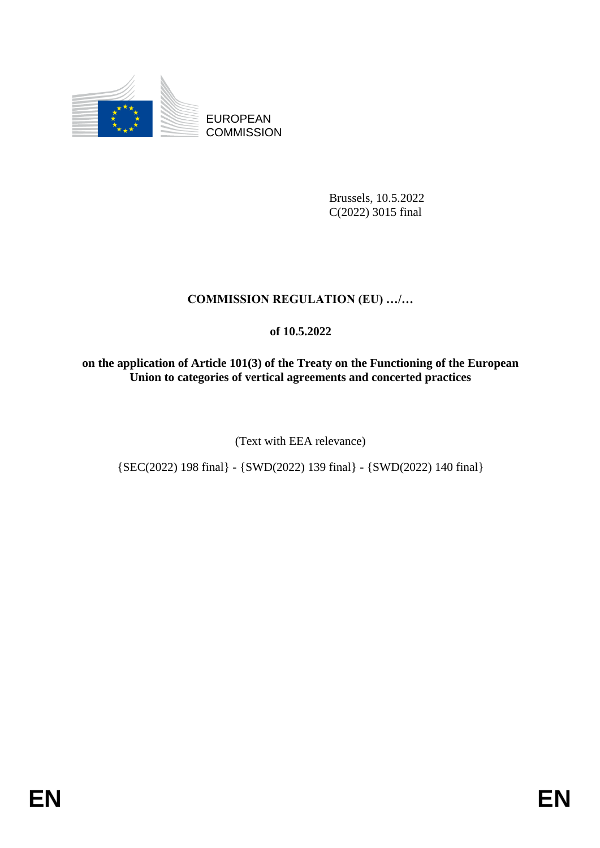

EUROPEAN **COMMISSION** 

> Brussels, 10.5.2022 C(2022) 3015 final

# **COMMISSION REGULATION (EU) …/…**

## **of 10.5.2022**

**on the application of Article 101(3) of the Treaty on the Functioning of the European Union to categories of vertical agreements and concerted practices**

(Text with EEA relevance)

{SEC(2022) 198 final} - {SWD(2022) 139 final} - {SWD(2022) 140 final}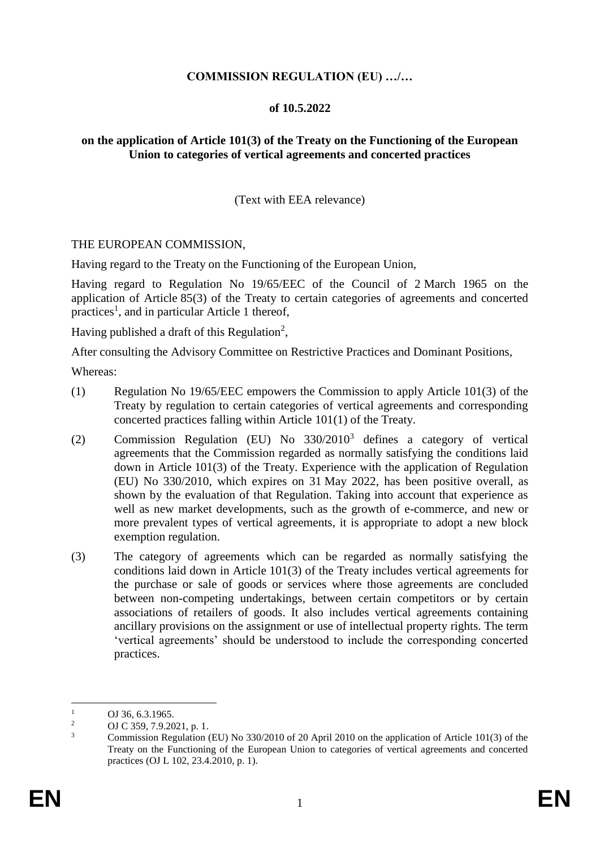## **COMMISSION REGULATION (EU) …/…**

#### **of 10.5.2022**

## **on the application of Article 101(3) of the Treaty on the Functioning of the European Union to categories of vertical agreements and concerted practices**

### (Text with EEA relevance)

#### THE EUROPEAN COMMISSION,

Having regard to the Treaty on the Functioning of the European Union,

Having regard to Regulation No 19/65/EEC of the Council of 2 March 1965 on the application of Article 85(3) of the Treaty to certain categories of agreements and concerted practices<sup>1</sup>, and in particular Article 1 thereof,

Having published a draft of this Regulation<sup>2</sup>,

After consulting the Advisory Committee on Restrictive Practices and Dominant Positions,

Whereas:

- (1) Regulation No 19/65/EEC empowers the Commission to apply Article 101(3) of the Treaty by regulation to certain categories of vertical agreements and corresponding concerted practices falling within Article 101(1) of the Treaty.
- (2) Commission Regulation (EU) No 330/2010<sup>3</sup> defines a category of vertical agreements that the Commission regarded as normally satisfying the conditions laid down in Article 101(3) of the Treaty. Experience with the application of Regulation (EU) No 330/2010, which expires on 31 May 2022, has been positive overall, as shown by the evaluation of that Regulation. Taking into account that experience as well as new market developments, such as the growth of e-commerce, and new or more prevalent types of vertical agreements, it is appropriate to adopt a new block exemption regulation.
- (3) The category of agreements which can be regarded as normally satisfying the conditions laid down in Article 101(3) of the Treaty includes vertical agreements for the purchase or sale of goods or services where those agreements are concluded between non-competing undertakings, between certain competitors or by certain associations of retailers of goods. It also includes vertical agreements containing ancillary provisions on the assignment or use of intellectual property rights. The term 'vertical agreements' should be understood to include the corresponding concerted practices.

 $\mathbf{1}$  $\frac{1}{2}$  OJ 36, 6.3.1965.

<sup>&</sup>lt;sup>2</sup> OJ C 359, 7.9.2021, p. 1.<br>
<sup>3</sup> Commission Bogulation (

<sup>3</sup> Commission Regulation (EU) No 330/2010 of 20 April 2010 on the application of Article 101(3) of the Treaty on the Functioning of the European Union to categories of vertical agreements and concerted practices (OJ L 102, 23.4.2010, p. 1).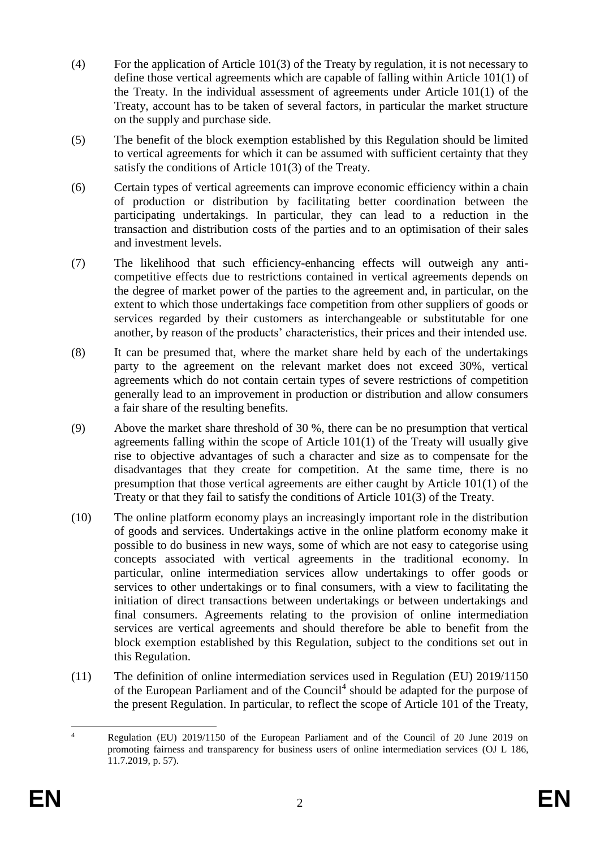- (4) For the application of Article 101(3) of the Treaty by regulation, it is not necessary to define those vertical agreements which are capable of falling within Article 101(1) of the Treaty. In the individual assessment of agreements under Article 101(1) of the Treaty, account has to be taken of several factors, in particular the market structure on the supply and purchase side.
- (5) The benefit of the block exemption established by this Regulation should be limited to vertical agreements for which it can be assumed with sufficient certainty that they satisfy the conditions of Article 101(3) of the Treaty.
- (6) Certain types of vertical agreements can improve economic efficiency within a chain of production or distribution by facilitating better coordination between the participating undertakings. In particular, they can lead to a reduction in the transaction and distribution costs of the parties and to an optimisation of their sales and investment levels.
- (7) The likelihood that such efficiency-enhancing effects will outweigh any anticompetitive effects due to restrictions contained in vertical agreements depends on the degree of market power of the parties to the agreement and, in particular, on the extent to which those undertakings face competition from other suppliers of goods or services regarded by their customers as interchangeable or substitutable for one another, by reason of the products' characteristics, their prices and their intended use.
- (8) It can be presumed that, where the market share held by each of the undertakings party to the agreement on the relevant market does not exceed 30%, vertical agreements which do not contain certain types of severe restrictions of competition generally lead to an improvement in production or distribution and allow consumers a fair share of the resulting benefits.
- (9) Above the market share threshold of 30 %, there can be no presumption that vertical agreements falling within the scope of Article 101(1) of the Treaty will usually give rise to objective advantages of such a character and size as to compensate for the disadvantages that they create for competition. At the same time, there is no presumption that those vertical agreements are either caught by Article 101(1) of the Treaty or that they fail to satisfy the conditions of Article 101(3) of the Treaty.
- (10) The online platform economy plays an increasingly important role in the distribution of goods and services. Undertakings active in the online platform economy make it possible to do business in new ways, some of which are not easy to categorise using concepts associated with vertical agreements in the traditional economy. In particular, online intermediation services allow undertakings to offer goods or services to other undertakings or to final consumers, with a view to facilitating the initiation of direct transactions between undertakings or between undertakings and final consumers. Agreements relating to the provision of online intermediation services are vertical agreements and should therefore be able to benefit from the block exemption established by this Regulation, subject to the conditions set out in this Regulation.
- (11) The definition of online intermediation services used in Regulation (EU) 2019/1150 of the European Parliament and of the Council<sup>4</sup> should be adapted for the purpose of the present Regulation. In particular, to reflect the scope of Article 101 of the Treaty,

 $\overline{4}$ <sup>4</sup> Regulation (EU) 2019/1150 of the European Parliament and of the Council of 20 June 2019 on promoting fairness and transparency for business users of online intermediation services (OJ L 186, 11.7.2019, p. 57).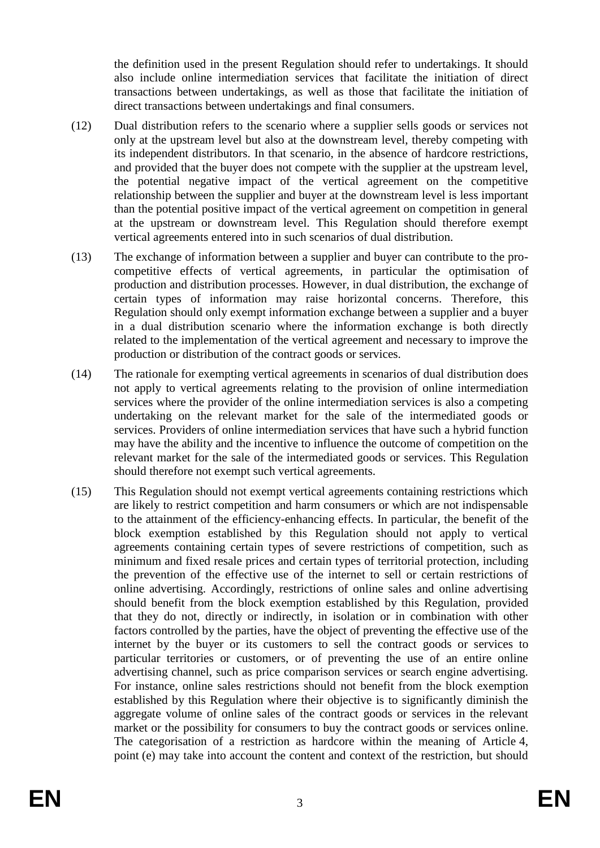the definition used in the present Regulation should refer to undertakings. It should also include online intermediation services that facilitate the initiation of direct transactions between undertakings, as well as those that facilitate the initiation of direct transactions between undertakings and final consumers.

- (12) Dual distribution refers to the scenario where a supplier sells goods or services not only at the upstream level but also at the downstream level, thereby competing with its independent distributors. In that scenario, in the absence of hardcore restrictions, and provided that the buyer does not compete with the supplier at the upstream level, the potential negative impact of the vertical agreement on the competitive relationship between the supplier and buyer at the downstream level is less important than the potential positive impact of the vertical agreement on competition in general at the upstream or downstream level. This Regulation should therefore exempt vertical agreements entered into in such scenarios of dual distribution.
- (13) The exchange of information between a supplier and buyer can contribute to the procompetitive effects of vertical agreements, in particular the optimisation of production and distribution processes. However, in dual distribution, the exchange of certain types of information may raise horizontal concerns. Therefore, this Regulation should only exempt information exchange between a supplier and a buyer in a dual distribution scenario where the information exchange is both directly related to the implementation of the vertical agreement and necessary to improve the production or distribution of the contract goods or services.
- (14) The rationale for exempting vertical agreements in scenarios of dual distribution does not apply to vertical agreements relating to the provision of online intermediation services where the provider of the online intermediation services is also a competing undertaking on the relevant market for the sale of the intermediated goods or services. Providers of online intermediation services that have such a hybrid function may have the ability and the incentive to influence the outcome of competition on the relevant market for the sale of the intermediated goods or services. This Regulation should therefore not exempt such vertical agreements.
- (15) This Regulation should not exempt vertical agreements containing restrictions which are likely to restrict competition and harm consumers or which are not indispensable to the attainment of the efficiency-enhancing effects. In particular, the benefit of the block exemption established by this Regulation should not apply to vertical agreements containing certain types of severe restrictions of competition, such as minimum and fixed resale prices and certain types of territorial protection, including the prevention of the effective use of the internet to sell or certain restrictions of online advertising. Accordingly, restrictions of online sales and online advertising should benefit from the block exemption established by this Regulation, provided that they do not, directly or indirectly, in isolation or in combination with other factors controlled by the parties, have the object of preventing the effective use of the internet by the buyer or its customers to sell the contract goods or services to particular territories or customers, or of preventing the use of an entire online advertising channel, such as price comparison services or search engine advertising. For instance, online sales restrictions should not benefit from the block exemption established by this Regulation where their objective is to significantly diminish the aggregate volume of online sales of the contract goods or services in the relevant market or the possibility for consumers to buy the contract goods or services online. The categorisation of a restriction as hardcore within the meaning of Article 4, point (e) may take into account the content and context of the restriction, but should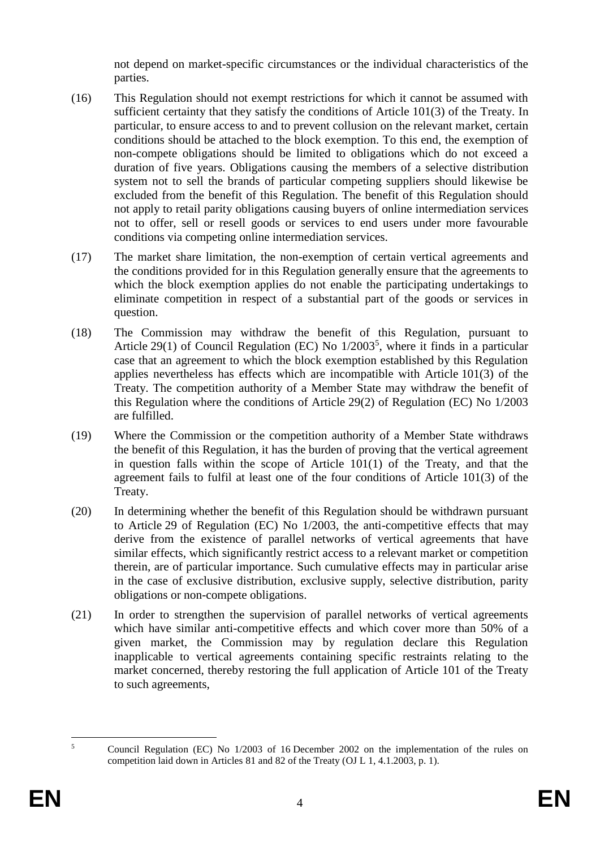not depend on market-specific circumstances or the individual characteristics of the parties.

- (16) This Regulation should not exempt restrictions for which it cannot be assumed with sufficient certainty that they satisfy the conditions of Article 101(3) of the Treaty. In particular, to ensure access to and to prevent collusion on the relevant market, certain conditions should be attached to the block exemption. To this end, the exemption of non-compete obligations should be limited to obligations which do not exceed a duration of five years. Obligations causing the members of a selective distribution system not to sell the brands of particular competing suppliers should likewise be excluded from the benefit of this Regulation. The benefit of this Regulation should not apply to retail parity obligations causing buyers of online intermediation services not to offer, sell or resell goods or services to end users under more favourable conditions via competing online intermediation services.
- (17) The market share limitation, the non-exemption of certain vertical agreements and the conditions provided for in this Regulation generally ensure that the agreements to which the block exemption applies do not enable the participating undertakings to eliminate competition in respect of a substantial part of the goods or services in question.
- (18) The Commission may withdraw the benefit of this Regulation, pursuant to Article 29(1) of Council Regulation (EC) No  $1/2003^5$ , where it finds in a particular case that an agreement to which the block exemption established by this Regulation applies nevertheless has effects which are incompatible with Article 101(3) of the Treaty. The competition authority of a Member State may withdraw the benefit of this Regulation where the conditions of Article 29(2) of Regulation (EC) No 1/2003 are fulfilled.
- (19) Where the Commission or the competition authority of a Member State withdraws the benefit of this Regulation, it has the burden of proving that the vertical agreement in question falls within the scope of Article 101(1) of the Treaty, and that the agreement fails to fulfil at least one of the four conditions of Article 101(3) of the Treaty.
- (20) In determining whether the benefit of this Regulation should be withdrawn pursuant to Article 29 of Regulation (EC) No 1/2003, the anti-competitive effects that may derive from the existence of parallel networks of vertical agreements that have similar effects, which significantly restrict access to a relevant market or competition therein, are of particular importance. Such cumulative effects may in particular arise in the case of exclusive distribution, exclusive supply, selective distribution, parity obligations or non-compete obligations.
- (21) In order to strengthen the supervision of parallel networks of vertical agreements which have similar anti-competitive effects and which cover more than 50% of a given market, the Commission may by regulation declare this Regulation inapplicable to vertical agreements containing specific restraints relating to the market concerned, thereby restoring the full application of Article 101 of the Treaty to such agreements,

 $\overline{\mathbf{S}}$ <sup>5</sup> Council Regulation (EC) No 1/2003 of 16 December 2002 on the implementation of the rules on competition laid down in Articles 81 and 82 of the Treaty (OJ L 1, 4.1.2003, p. 1).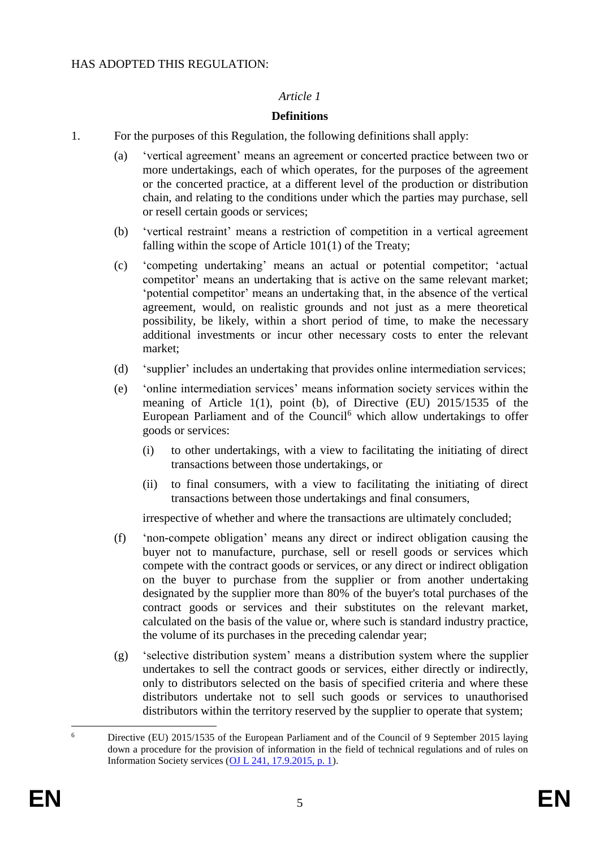## **Definitions**

- 1. For the purposes of this Regulation, the following definitions shall apply:
	- (a) 'vertical agreement' means an agreement or concerted practice between two or more undertakings, each of which operates, for the purposes of the agreement or the concerted practice, at a different level of the production or distribution chain, and relating to the conditions under which the parties may purchase, sell or resell certain goods or services;
	- (b) 'vertical restraint' means a restriction of competition in a vertical agreement falling within the scope of Article 101(1) of the Treaty;
	- (c) 'competing undertaking' means an actual or potential competitor; 'actual competitor' means an undertaking that is active on the same relevant market; 'potential competitor' means an undertaking that, in the absence of the vertical agreement, would, on realistic grounds and not just as a mere theoretical possibility, be likely, within a short period of time, to make the necessary additional investments or incur other necessary costs to enter the relevant market;
	- (d) 'supplier' includes an undertaking that provides online intermediation services;
	- (e) 'online intermediation services' means information society services within the meaning of Article 1(1), point (b), of Directive (EU) 2015/1535 of the European Parliament and of the Council<sup>6</sup> which allow undertakings to offer goods or services:
		- (i) to other undertakings, with a view to facilitating the initiating of direct transactions between those undertakings, or
		- (ii) to final consumers, with a view to facilitating the initiating of direct transactions between those undertakings and final consumers,

irrespective of whether and where the transactions are ultimately concluded;

- (f) 'non-compete obligation' means any direct or indirect obligation causing the buyer not to manufacture, purchase, sell or resell goods or services which compete with the contract goods or services, or any direct or indirect obligation on the buyer to purchase from the supplier or from another undertaking designated by the supplier more than 80% of the buyer's total purchases of the contract goods or services and their substitutes on the relevant market, calculated on the basis of the value or, where such is standard industry practice, the volume of its purchases in the preceding calendar year;
- (g) 'selective distribution system' means a distribution system where the supplier undertakes to sell the contract goods or services, either directly or indirectly, only to distributors selected on the basis of specified criteria and where these distributors undertake not to sell such goods or services to unauthorised distributors within the territory reserved by the supplier to operate that system;

1

<sup>&</sup>lt;sup>6</sup> Directive (EU) 2015/1535 of the European Parliament and of the Council of 9 September 2015 laying down a procedure for the provision of information in the field of technical regulations and of rules on Information Society services  $(OL L 241, 17.9.2015, p. 1)$ .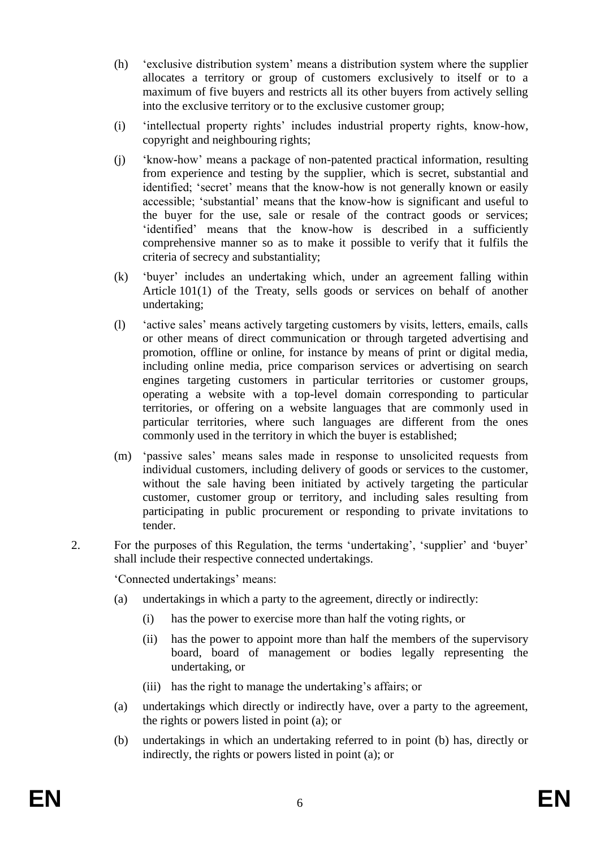- (h) 'exclusive distribution system' means a distribution system where the supplier allocates a territory or group of customers exclusively to itself or to a maximum of five buyers and restricts all its other buyers from actively selling into the exclusive territory or to the exclusive customer group;
- (i) 'intellectual property rights' includes industrial property rights, know-how, copyright and neighbouring rights;
- (j) 'know-how' means a package of non-patented practical information, resulting from experience and testing by the supplier, which is secret, substantial and identified; 'secret' means that the know-how is not generally known or easily accessible; 'substantial' means that the know-how is significant and useful to the buyer for the use, sale or resale of the contract goods or services; 'identified' means that the know-how is described in a sufficiently comprehensive manner so as to make it possible to verify that it fulfils the criteria of secrecy and substantiality;
- (k) 'buyer' includes an undertaking which, under an agreement falling within Article 101(1) of the Treaty, sells goods or services on behalf of another undertaking;
- (l) 'active sales' means actively targeting customers by visits, letters, emails, calls or other means of direct communication or through targeted advertising and promotion, offline or online, for instance by means of print or digital media, including online media, price comparison services or advertising on search engines targeting customers in particular territories or customer groups, operating a website with a top-level domain corresponding to particular territories, or offering on a website languages that are commonly used in particular territories, where such languages are different from the ones commonly used in the territory in which the buyer is established;
- (m) 'passive sales' means sales made in response to unsolicited requests from individual customers, including delivery of goods or services to the customer, without the sale having been initiated by actively targeting the particular customer, customer group or territory, and including sales resulting from participating in public procurement or responding to private invitations to tender.
- 2. For the purposes of this Regulation, the terms 'undertaking', 'supplier' and 'buyer' shall include their respective connected undertakings.

'Connected undertakings' means:

- (a) undertakings in which a party to the agreement, directly or indirectly:
	- (i) has the power to exercise more than half the voting rights, or
	- (ii) has the power to appoint more than half the members of the supervisory board, board of management or bodies legally representing the undertaking, or
	- (iii) has the right to manage the undertaking's affairs; or
- (a) undertakings which directly or indirectly have, over a party to the agreement, the rights or powers listed in point (a); or
- (b) undertakings in which an undertaking referred to in point (b) has, directly or indirectly, the rights or powers listed in point (a); or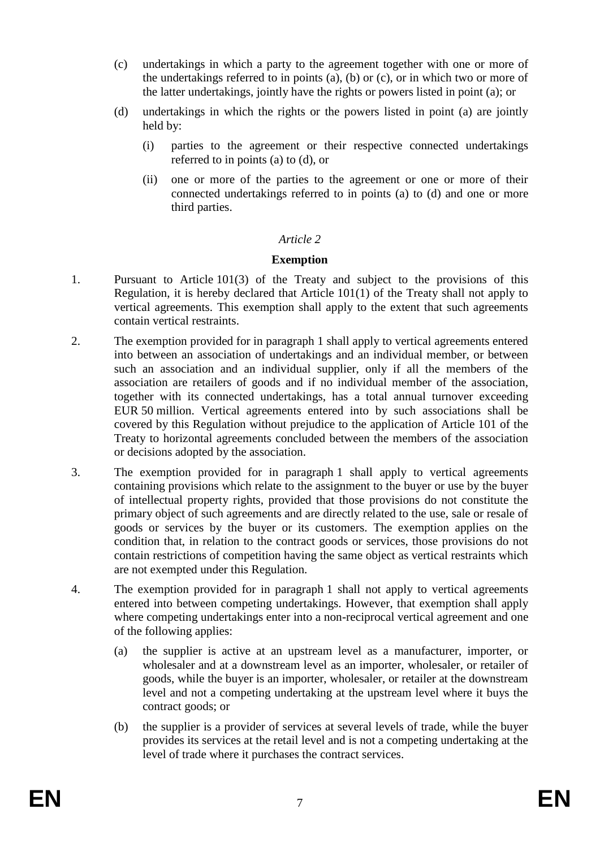- (c) undertakings in which a party to the agreement together with one or more of the undertakings referred to in points (a), (b) or (c), or in which two or more of the latter undertakings, jointly have the rights or powers listed in point (a); or
- (d) undertakings in which the rights or the powers listed in point (a) are jointly held by:
	- (i) parties to the agreement or their respective connected undertakings referred to in points (a) to (d), or
	- (ii) one or more of the parties to the agreement or one or more of their connected undertakings referred to in points (a) to (d) and one or more third parties.

## **Exemption**

- 1. Pursuant to Article 101(3) of the Treaty and subject to the provisions of this Regulation, it is hereby declared that Article 101(1) of the Treaty shall not apply to vertical agreements. This exemption shall apply to the extent that such agreements contain vertical restraints.
- 2. The exemption provided for in paragraph 1 shall apply to vertical agreements entered into between an association of undertakings and an individual member, or between such an association and an individual supplier, only if all the members of the association are retailers of goods and if no individual member of the association, together with its connected undertakings, has a total annual turnover exceeding EUR 50 million. Vertical agreements entered into by such associations shall be covered by this Regulation without prejudice to the application of Article 101 of the Treaty to horizontal agreements concluded between the members of the association or decisions adopted by the association.
- 3. The exemption provided for in paragraph 1 shall apply to vertical agreements containing provisions which relate to the assignment to the buyer or use by the buyer of intellectual property rights, provided that those provisions do not constitute the primary object of such agreements and are directly related to the use, sale or resale of goods or services by the buyer or its customers. The exemption applies on the condition that, in relation to the contract goods or services, those provisions do not contain restrictions of competition having the same object as vertical restraints which are not exempted under this Regulation.
- 4. The exemption provided for in paragraph 1 shall not apply to vertical agreements entered into between competing undertakings. However, that exemption shall apply where competing undertakings enter into a non-reciprocal vertical agreement and one of the following applies:
	- (a) the supplier is active at an upstream level as a manufacturer, importer, or wholesaler and at a downstream level as an importer, wholesaler, or retailer of goods, while the buyer is an importer, wholesaler, or retailer at the downstream level and not a competing undertaking at the upstream level where it buys the contract goods; or
	- (b) the supplier is a provider of services at several levels of trade, while the buyer provides its services at the retail level and is not a competing undertaking at the level of trade where it purchases the contract services.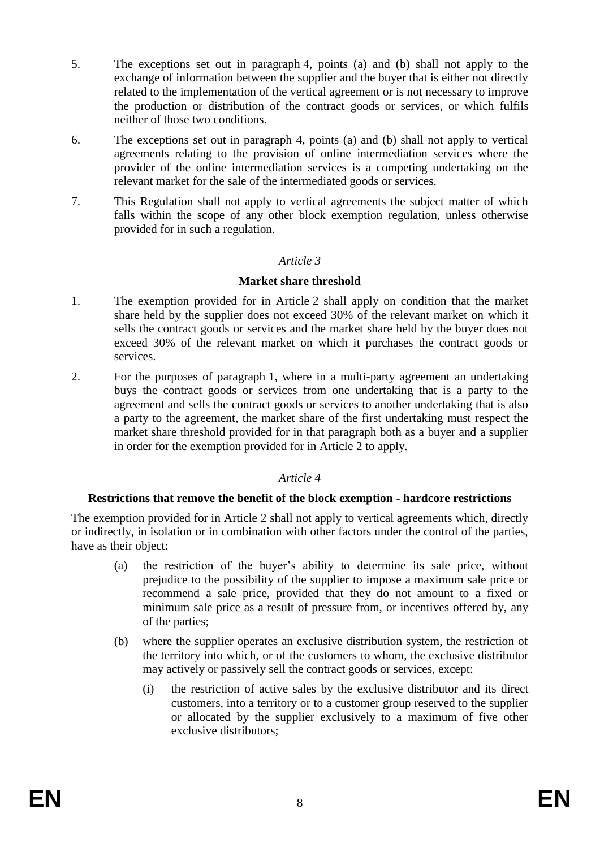- 5. The exceptions set out in paragraph 4, points (a) and (b) shall not apply to the exchange of information between the supplier and the buyer that is either not directly related to the implementation of the vertical agreement or is not necessary to improve the production or distribution of the contract goods or services, or which fulfils neither of those two conditions.
- 6. The exceptions set out in paragraph 4, points (a) and (b) shall not apply to vertical agreements relating to the provision of online intermediation services where the provider of the online intermediation services is a competing undertaking on the relevant market for the sale of the intermediated goods or services.
- 7. This Regulation shall not apply to vertical agreements the subject matter of which falls within the scope of any other block exemption regulation, unless otherwise provided for in such a regulation.

#### **Market share threshold**

- 1. The exemption provided for in Article 2 shall apply on condition that the market share held by the supplier does not exceed 30% of the relevant market on which it sells the contract goods or services and the market share held by the buyer does not exceed 30% of the relevant market on which it purchases the contract goods or services.
- 2. For the purposes of paragraph 1, where in a multi-party agreement an undertaking buys the contract goods or services from one undertaking that is a party to the agreement and sells the contract goods or services to another undertaking that is also a party to the agreement, the market share of the first undertaking must respect the market share threshold provided for in that paragraph both as a buyer and a supplier in order for the exemption provided for in Article 2 to apply.

#### *Article 4*

## **Restrictions that remove the benefit of the block exemption - hardcore restrictions**

The exemption provided for in Article 2 shall not apply to vertical agreements which, directly or indirectly, in isolation or in combination with other factors under the control of the parties, have as their object:

- (a) the restriction of the buyer's ability to determine its sale price, without prejudice to the possibility of the supplier to impose a maximum sale price or recommend a sale price, provided that they do not amount to a fixed or minimum sale price as a result of pressure from, or incentives offered by, any of the parties;
- (b) where the supplier operates an exclusive distribution system, the restriction of the territory into which, or of the customers to whom, the exclusive distributor may actively or passively sell the contract goods or services, except:
	- (i) the restriction of active sales by the exclusive distributor and its direct customers, into a territory or to a customer group reserved to the supplier or allocated by the supplier exclusively to a maximum of five other exclusive distributors;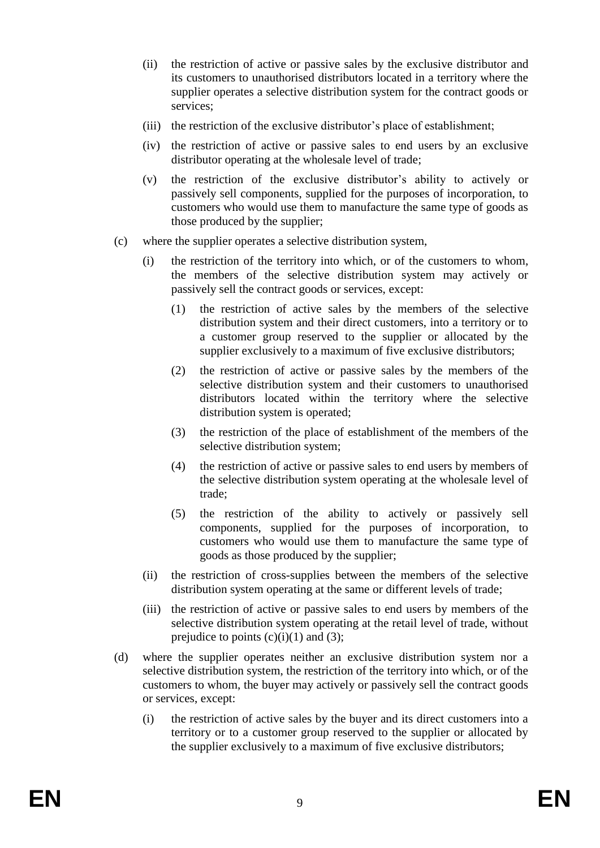- (ii) the restriction of active or passive sales by the exclusive distributor and its customers to unauthorised distributors located in a territory where the supplier operates a selective distribution system for the contract goods or services;
- (iii) the restriction of the exclusive distributor's place of establishment;
- (iv) the restriction of active or passive sales to end users by an exclusive distributor operating at the wholesale level of trade;
- (v) the restriction of the exclusive distributor's ability to actively or passively sell components, supplied for the purposes of incorporation, to customers who would use them to manufacture the same type of goods as those produced by the supplier;
- (c) where the supplier operates a selective distribution system,
	- (i) the restriction of the territory into which, or of the customers to whom, the members of the selective distribution system may actively or passively sell the contract goods or services, except:
		- (1) the restriction of active sales by the members of the selective distribution system and their direct customers, into a territory or to a customer group reserved to the supplier or allocated by the supplier exclusively to a maximum of five exclusive distributors;
		- (2) the restriction of active or passive sales by the members of the selective distribution system and their customers to unauthorised distributors located within the territory where the selective distribution system is operated;
		- (3) the restriction of the place of establishment of the members of the selective distribution system;
		- (4) the restriction of active or passive sales to end users by members of the selective distribution system operating at the wholesale level of trade;
		- (5) the restriction of the ability to actively or passively sell components, supplied for the purposes of incorporation, to customers who would use them to manufacture the same type of goods as those produced by the supplier;
	- (ii) the restriction of cross-supplies between the members of the selective distribution system operating at the same or different levels of trade;
	- (iii) the restriction of active or passive sales to end users by members of the selective distribution system operating at the retail level of trade, without prejudice to points  $(c)(i)(1)$  and  $(3)$ ;
- (d) where the supplier operates neither an exclusive distribution system nor a selective distribution system, the restriction of the territory into which, or of the customers to whom, the buyer may actively or passively sell the contract goods or services, except:
	- (i) the restriction of active sales by the buyer and its direct customers into a territory or to a customer group reserved to the supplier or allocated by the supplier exclusively to a maximum of five exclusive distributors;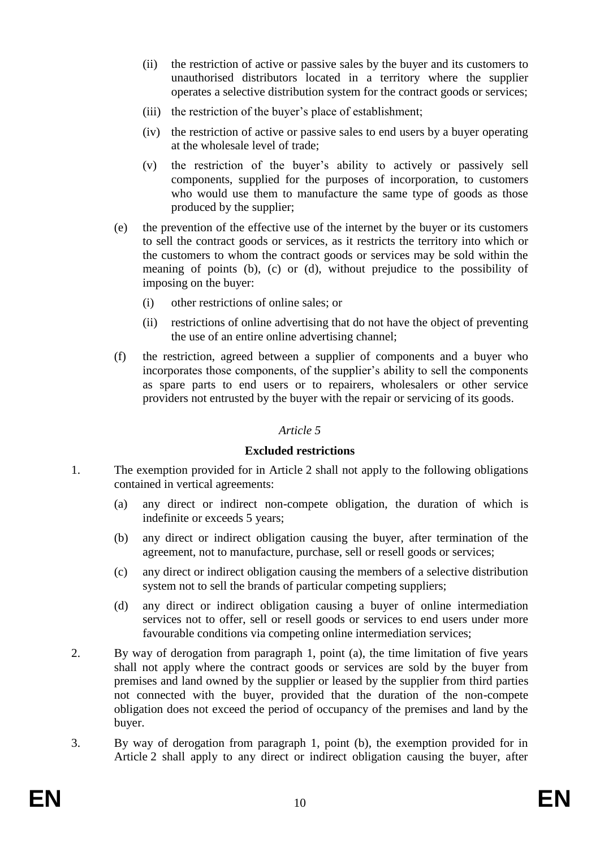- (ii) the restriction of active or passive sales by the buyer and its customers to unauthorised distributors located in a territory where the supplier operates a selective distribution system for the contract goods or services;
- (iii) the restriction of the buyer's place of establishment;
- (iv) the restriction of active or passive sales to end users by a buyer operating at the wholesale level of trade;
- (v) the restriction of the buyer's ability to actively or passively sell components, supplied for the purposes of incorporation, to customers who would use them to manufacture the same type of goods as those produced by the supplier;
- (e) the prevention of the effective use of the internet by the buyer or its customers to sell the contract goods or services, as it restricts the territory into which or the customers to whom the contract goods or services may be sold within the meaning of points (b), (c) or (d), without prejudice to the possibility of imposing on the buyer:
	- (i) other restrictions of online sales; or
	- (ii) restrictions of online advertising that do not have the object of preventing the use of an entire online advertising channel;
- (f) the restriction, agreed between a supplier of components and a buyer who incorporates those components, of the supplier's ability to sell the components as spare parts to end users or to repairers, wholesalers or other service providers not entrusted by the buyer with the repair or servicing of its goods.

#### **Excluded restrictions**

- 1. The exemption provided for in Article 2 shall not apply to the following obligations contained in vertical agreements:
	- (a) any direct or indirect non-compete obligation, the duration of which is indefinite or exceeds 5 years;
	- (b) any direct or indirect obligation causing the buyer, after termination of the agreement, not to manufacture, purchase, sell or resell goods or services;
	- (c) any direct or indirect obligation causing the members of a selective distribution system not to sell the brands of particular competing suppliers;
	- (d) any direct or indirect obligation causing a buyer of online intermediation services not to offer, sell or resell goods or services to end users under more favourable conditions via competing online intermediation services;
- 2. By way of derogation from paragraph 1, point (a), the time limitation of five years shall not apply where the contract goods or services are sold by the buyer from premises and land owned by the supplier or leased by the supplier from third parties not connected with the buyer, provided that the duration of the non-compete obligation does not exceed the period of occupancy of the premises and land by the buyer.
- 3. By way of derogation from paragraph 1, point (b), the exemption provided for in Article 2 shall apply to any direct or indirect obligation causing the buyer, after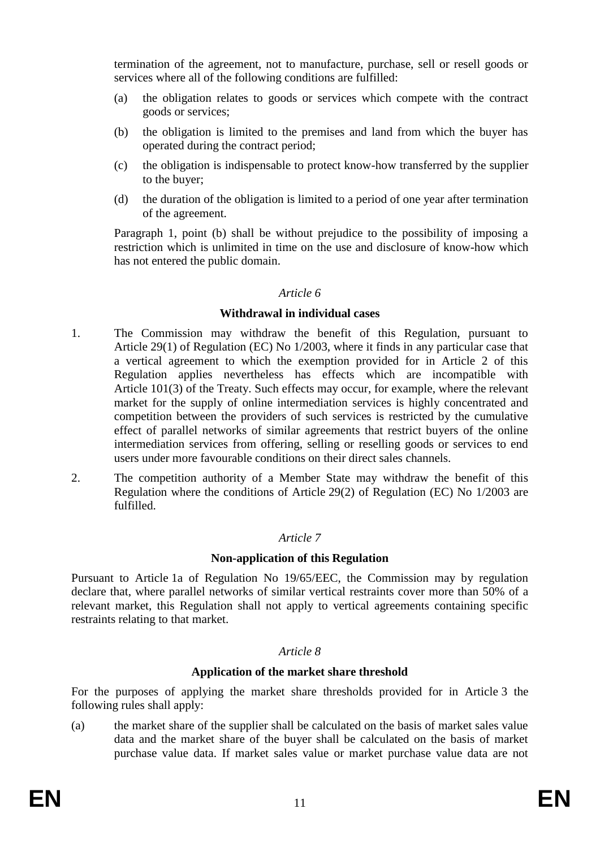termination of the agreement, not to manufacture, purchase, sell or resell goods or services where all of the following conditions are fulfilled:

- (a) the obligation relates to goods or services which compete with the contract goods or services;
- (b) the obligation is limited to the premises and land from which the buyer has operated during the contract period;
- (c) the obligation is indispensable to protect know-how transferred by the supplier to the buyer;
- (d) the duration of the obligation is limited to a period of one year after termination of the agreement.

Paragraph 1, point (b) shall be without prejudice to the possibility of imposing a restriction which is unlimited in time on the use and disclosure of know-how which has not entered the public domain.

#### *Article 6*

#### **Withdrawal in individual cases**

- 1. The Commission may withdraw the benefit of this Regulation, pursuant to Article 29(1) of Regulation (EC) No 1/2003, where it finds in any particular case that a vertical agreement to which the exemption provided for in Article 2 of this Regulation applies nevertheless has effects which are incompatible with Article 101(3) of the Treaty. Such effects may occur, for example, where the relevant market for the supply of online intermediation services is highly concentrated and competition between the providers of such services is restricted by the cumulative effect of parallel networks of similar agreements that restrict buyers of the online intermediation services from offering, selling or reselling goods or services to end users under more favourable conditions on their direct sales channels.
- 2. The competition authority of a Member State may withdraw the benefit of this Regulation where the conditions of Article 29(2) of Regulation (EC) No 1/2003 are fulfilled.

#### *Article 7*

#### **Non-application of this Regulation**

Pursuant to Article 1a of Regulation No 19/65/EEC, the Commission may by regulation declare that, where parallel networks of similar vertical restraints cover more than 50% of a relevant market, this Regulation shall not apply to vertical agreements containing specific restraints relating to that market.

#### *Article 8*

#### **Application of the market share threshold**

For the purposes of applying the market share thresholds provided for in Article 3 the following rules shall apply:

(a) the market share of the supplier shall be calculated on the basis of market sales value data and the market share of the buyer shall be calculated on the basis of market purchase value data. If market sales value or market purchase value data are not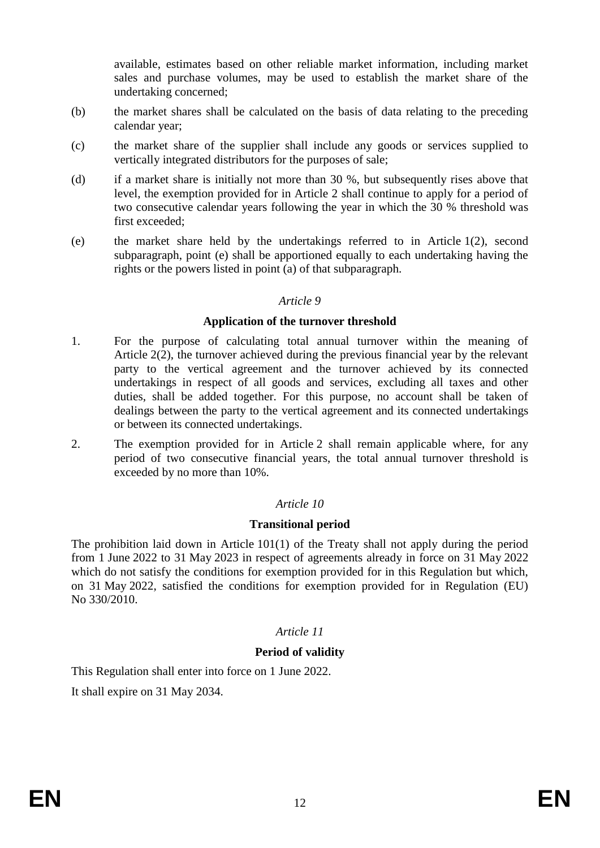available, estimates based on other reliable market information, including market sales and purchase volumes, may be used to establish the market share of the undertaking concerned;

- (b) the market shares shall be calculated on the basis of data relating to the preceding calendar year;
- (c) the market share of the supplier shall include any goods or services supplied to vertically integrated distributors for the purposes of sale;
- (d) if a market share is initially not more than 30 %, but subsequently rises above that level, the exemption provided for in Article 2 shall continue to apply for a period of two consecutive calendar years following the year in which the 30 % threshold was first exceeded;
- (e) the market share held by the undertakings referred to in Article 1(2), second subparagraph, point (e) shall be apportioned equally to each undertaking having the rights or the powers listed in point (a) of that subparagraph.

#### *Article 9*

#### **Application of the turnover threshold**

- 1. For the purpose of calculating total annual turnover within the meaning of Article 2(2), the turnover achieved during the previous financial year by the relevant party to the vertical agreement and the turnover achieved by its connected undertakings in respect of all goods and services, excluding all taxes and other duties, shall be added together. For this purpose, no account shall be taken of dealings between the party to the vertical agreement and its connected undertakings or between its connected undertakings.
- 2. The exemption provided for in Article 2 shall remain applicable where, for any period of two consecutive financial years, the total annual turnover threshold is exceeded by no more than 10%.

#### *Article 10*

#### **Transitional period**

The prohibition laid down in Article 101(1) of the Treaty shall not apply during the period from 1 June 2022 to 31 May 2023 in respect of agreements already in force on 31 May 2022 which do not satisfy the conditions for exemption provided for in this Regulation but which, on 31 May 2022, satisfied the conditions for exemption provided for in Regulation (EU) No 330/2010.

#### *Article 11*

#### **Period of validity**

This Regulation shall enter into force on 1 June 2022.

It shall expire on 31 May 2034.